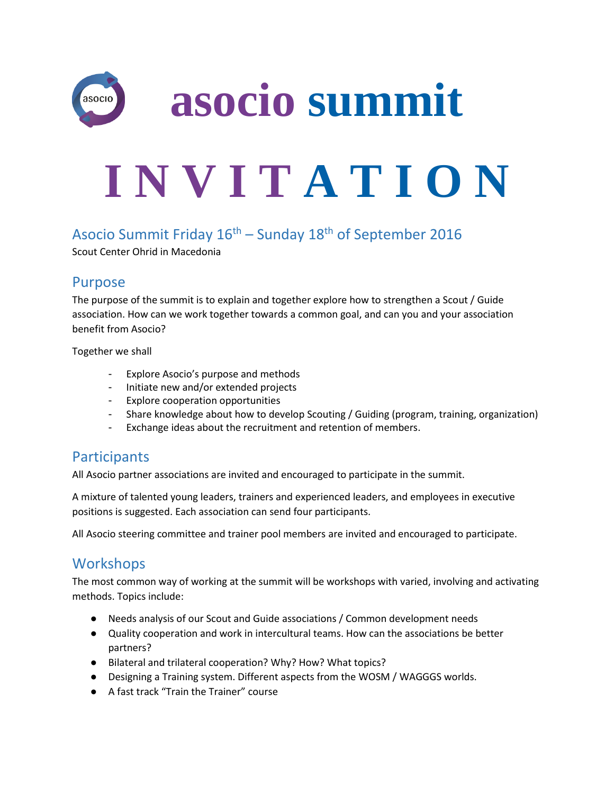

## Asocio Summit Friday  $16<sup>th</sup>$  – Sunday  $18<sup>th</sup>$  of September 2016

Scout Center Ohrid in Macedonia

#### Purpose

The purpose of the summit is to explain and together explore how to strengthen a Scout / Guide association. How can we work together towards a common goal, and can you and your association benefit from Asocio?

Together we shall

- Explore Asocio's purpose and methods
- Initiate new and/or extended projects
- Explore cooperation opportunities
- Share knowledge about how to develop Scouting / Guiding (program, training, organization)
- Exchange ideas about the recruitment and retention of members.

#### **Participants**

All Asocio partner associations are invited and encouraged to participate in the summit.

A mixture of talented young leaders, trainers and experienced leaders, and employees in executive positions is suggested. Each association can send four participants.

All Asocio steering committee and trainer pool members are invited and encouraged to participate.

# **Workshops**

The most common way of working at the summit will be workshops with varied, involving and activating methods. Topics include:

- Needs analysis of our Scout and Guide associations / Common development needs
- Quality cooperation and work in intercultural teams. How can the associations be better partners?
- Bilateral and trilateral cooperation? Why? How? What topics?
- Designing a Training system. Different aspects from the WOSM / WAGGGS worlds.
- A fast track "Train the Trainer" course